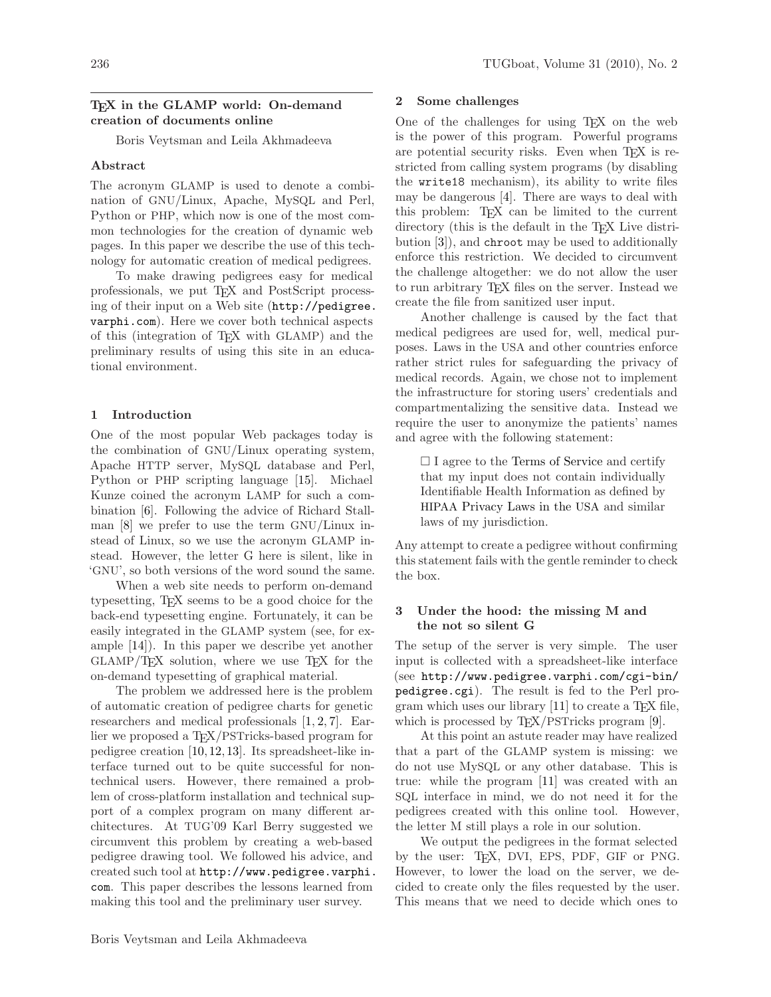# T<sub>F</sub>X in the GLAMP world: On-demand creation of documents online

Boris Veytsman and Leila Akhmadeeva

# Abstract

The acronym GLAMP is used to denote a combination of GNU/Linux, Apache, MySQL and Perl, Python or PHP, which now is one of the most common technologies for the creation of dynamic web pages. In this paper we describe the use of this technology for automatic creation of medical pedigrees.

To make drawing pedigrees easy for medical professionals, we put TEX and PostScript processing of their input on a Web site ([http://pedigree.](http://pedigree.varphi.com) [varphi.com](http://pedigree.varphi.com)). Here we cover both technical aspects of this (integration of TEX with GLAMP) and the preliminary results of using this site in an educational environment.

## 1 Introduction

One of the most popular Web packages today is the combination of GNU/Linux operating system, Apache HTTP server, MySQL database and Perl, Python or PHP scripting language [\[15\]](#page-3-0). Michael Kunze coined the acronym LAMP for such a combination [\[6\]](#page-2-0). Following the advice of Richard Stallman [\[8\]](#page-2-1) we prefer to use the term GNU/Linux instead of Linux, so we use the acronym GLAMP instead. However, the letter G here is silent, like in 'GNU', so both versions of the word sound the same.

When a web site needs to perform on-demand typesetting, TEX seems to be a good choice for the back-end typesetting engine. Fortunately, it can be easily integrated in the GLAMP system (see, for example [\[14\]](#page-3-1)). In this paper we describe yet another GLAMP/TEX solution, where we use TEX for the on-demand typesetting of graphical material.

The problem we addressed here is the problem of automatic creation of pedigree charts for genetic researchers and medical professionals [\[1,](#page-2-2) [2,](#page-2-3) [7\]](#page-2-4). Earlier we proposed a T<sub>E</sub>X/PSTricks-based program for pedigree creation [\[10,](#page-2-5)[12,](#page-3-2)[13\]](#page-3-3). Its spreadsheet-like interface turned out to be quite successful for nontechnical users. However, there remained a problem of cross-platform installation and technical support of a complex program on many different architectures. At TUG'09 Karl Berry suggested we circumvent this problem by creating a web-based pedigree drawing tool. We followed his advice, and created such tool at [http://www.pedigree.varphi.](http://www.pedigree.varphi.com) [com](http://www.pedigree.varphi.com). This paper describes the lessons learned from making this tool and the preliminary user survey.

## 2 Some challenges

One of the challenges for using TEX on the web is the power of this program. Powerful programs are potential security risks. Even when TFX is restricted from calling system programs (by disabling the write18 mechanism), its ability to write files may be dangerous [\[4\]](#page-2-6). There are ways to deal with this problem: T<sub>EX</sub> can be limited to the current directory (this is the default in the TEX Live distribution [\[3\]](#page-2-7)), and chroot may be used to additionally enforce this restriction. We decided to circumvent the challenge altogether: we do not allow the user to run arbitrary TEX files on the server. Instead we create the file from sanitized user input.

Another challenge is caused by the fact that medical pedigrees are used for, well, medical purposes. Laws in the USA and other countries enforce rather strict rules for safeguarding the privacy of medical records. Again, we chose not to implement the infrastructure for storing users' credentials and compartmentalizing the sensitive data. Instead we require the user to anonymize the patients' names and agree with the following statement:

 $\Box$  I agree to the [Terms of Service](http://pedigree.varphi.com/tos.html) and certify that my input does not contain individually Identifiable Health Information as defined by HIPAA [Privacy Laws in the](http://www.hhs.gov/ocr/privacy/hipaa/understanding/index.html) USA and similar laws of my jurisdiction.

Any attempt to create a pedigree without confirming this statement fails with the gentle reminder to check the box.

## 3 Under the hood: the missing M and the not so silent G

The setup of the server is very simple. The user input is collected with a spreadsheet-like interface (see [http://www.pedigree.varphi.com/cgi-bin/](http://www.pedigree.varphi.com/cgi-bin/pedigree.cgi) [pedigree.cgi](http://www.pedigree.varphi.com/cgi-bin/pedigree.cgi)). The result is fed to the Perl program which uses our library  $[11]$  to create a T<sub>E</sub>X file, which is processed by T<sub>E</sub>X/PSTricks program [\[9\]](#page-2-9).

At this point an astute reader may have realized that a part of the GLAMP system is missing: we do not use MySQL or any other database. This is true: while the program [\[11\]](#page-2-8) was created with an SQL interface in mind, we do not need it for the pedigrees created with this online tool. However, the letter M still plays a role in our solution.

We output the pedigrees in the format selected by the user: TEX, DVI, EPS, PDF, GIF or PNG. However, to lower the load on the server, we decided to create only the files requested by the user. This means that we need to decide which ones to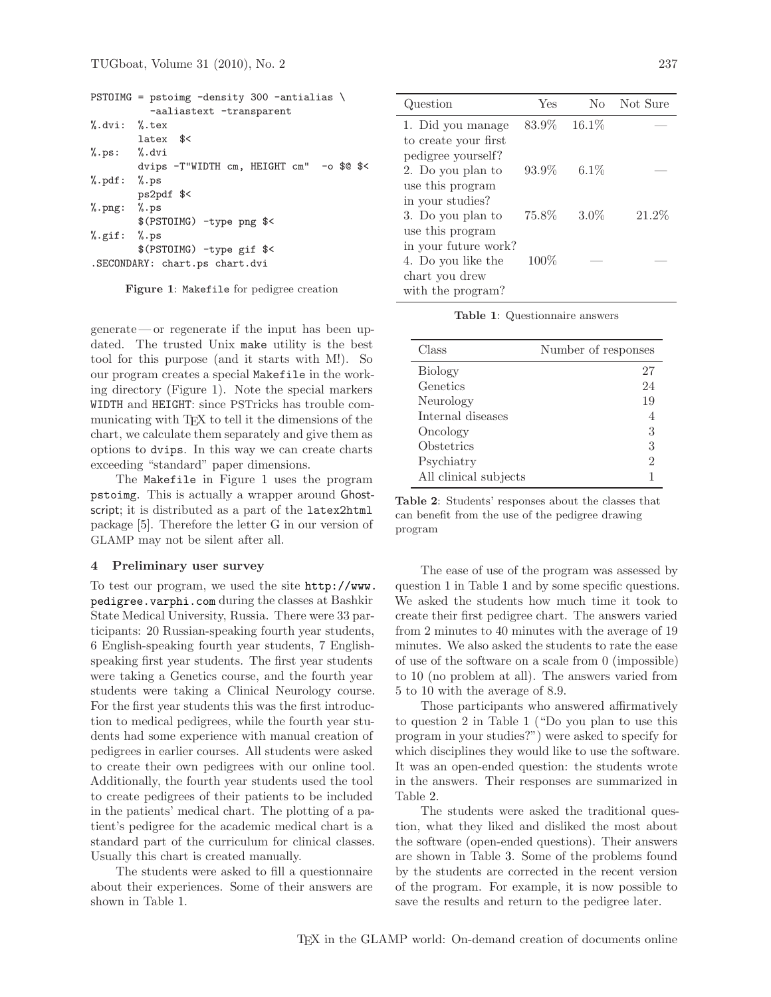| PSTOIMG = pstoimg -density 300 -antialias $\setminus$ |
|-------------------------------------------------------|
| -aaliastext -transparent                              |
| $\lambda$ .dvi: $\lambda$ .tex                        |
| latex \$<                                             |
| $\%$ .ps: $\%$ .dvi                                   |
| dvips -T"WIDTH cm, HEIGHT cm" -o \$0 \$<              |
| $\sqrt[6]{.}$ pdf: $\sqrt[6]{.}$ ps                   |
| ps2pdf \$<                                            |
| $\%$ . png: $\%$ . ps                                 |
| \$(PSTOIMG) -type png \$<                             |
| $\%$ .gif: $\%$ .ps                                   |
| \$(PSTOIMG) -type gif \$<                             |
| .SECONDARY: chart.ps chart.dvi                        |
|                                                       |

<span id="page-1-0"></span>Figure 1: Makefile for pedigree creation

generate— or regenerate if the input has been updated. The trusted Unix make utility is the best tool for this purpose (and it starts with M!). So our program creates a special Makefile in the working directory (Figure [1\)](#page-1-0). Note the special markers WIDTH and HEIGHT: since PSTricks has trouble communicating with T<sub>EX</sub> to tell it the dimensions of the chart, we calculate them separately and give them as options to dvips. In this way we can create charts exceeding "standard" paper dimensions.

The Makefile in Figure [1](#page-1-0) uses the program pstoimg. This is actually a wrapper around Ghostscript; it is distributed as a part of the latex2html package [\[5\]](#page-2-10). Therefore the letter G in our version of GLAMP may not be silent after all.

#### 4 Preliminary user survey

To test our program, we used the site [http://www.](http://www.pedigree.varphi.com) [pedigree.varphi.com](http://www.pedigree.varphi.com) during the classes at Bashkir State Medical University, Russia. There were 33 participants: 20 Russian-speaking fourth year students, 6 English-speaking fourth year students, 7 Englishspeaking first year students. The first year students were taking a Genetics course, and the fourth year students were taking a Clinical Neurology course. For the first year students this was the first introduction to medical pedigrees, while the fourth year students had some experience with manual creation of pedigrees in earlier courses. All students were asked to create their own pedigrees with our online tool. Additionally, the fourth year students used the tool to create pedigrees of their patients to be included in the patients' medical chart. The plotting of a patient's pedigree for the academic medical chart is a standard part of the curriculum for clinical classes. Usually this chart is created manually.

The students were asked to fill a questionnaire about their experiences. Some of their answers are shown in Table [1.](#page-1-1)

| Question             | Yes     | $\rm No$ | Not Sure |
|----------------------|---------|----------|----------|
| 1. Did you manage    | 83.9%   | 16.1%    |          |
| to create your first |         |          |          |
| pedigree yourself?   |         |          |          |
| 2. Do you plan to    | 93.9%   | $6.1\%$  |          |
| use this program     |         |          |          |
| in your studies?     |         |          |          |
| 3. Do you plan to    | 75.8%   | $3.0\%$  | $21.2\%$ |
| use this program     |         |          |          |
| in your future work? |         |          |          |
| 4. Do you like the   | $100\%$ |          |          |
| chart you drew       |         |          |          |
| with the program?    |         |          |          |

<span id="page-1-1"></span>Table 1: Questionnaire answers

| Class                 | Number of responses |
|-----------------------|---------------------|
| <b>Biology</b>        | 27                  |
| Genetics              | 24                  |
| Neurology             | 19                  |
| Internal diseases     | 4                   |
| Oncology              | 3                   |
| Obstetrics            | 3                   |
| Psychiatry            | $\mathfrak{D}$      |
| All clinical subjects |                     |

<span id="page-1-2"></span>Table 2: Students' responses about the classes that can benefit from the use of the pedigree drawing program

The ease of use of the program was assessed by question 1 in Table [1](#page-1-1) and by some specific questions. We asked the students how much time it took to create their first pedigree chart. The answers varied from 2 minutes to 40 minutes with the average of 19 minutes. We also asked the students to rate the ease of use of the software on a scale from 0 (impossible) to 10 (no problem at all). The answers varied from 5 to 10 with the average of 8.9.

Those participants who answered affirmatively to question 2 in Table [1](#page-1-1) ("Do you plan to use this program in your studies?") were asked to specify for which disciplines they would like to use the software. It was an open-ended question: the students wrote in the answers. Their responses are summarized in Table [2.](#page-1-2)

The students were asked the traditional question, what they liked and disliked the most about the software (open-ended questions). Their answers are shown in Table [3.](#page-2-11) Some of the problems found by the students are corrected in the recent version of the program. For example, it is now possible to save the results and return to the pedigree later.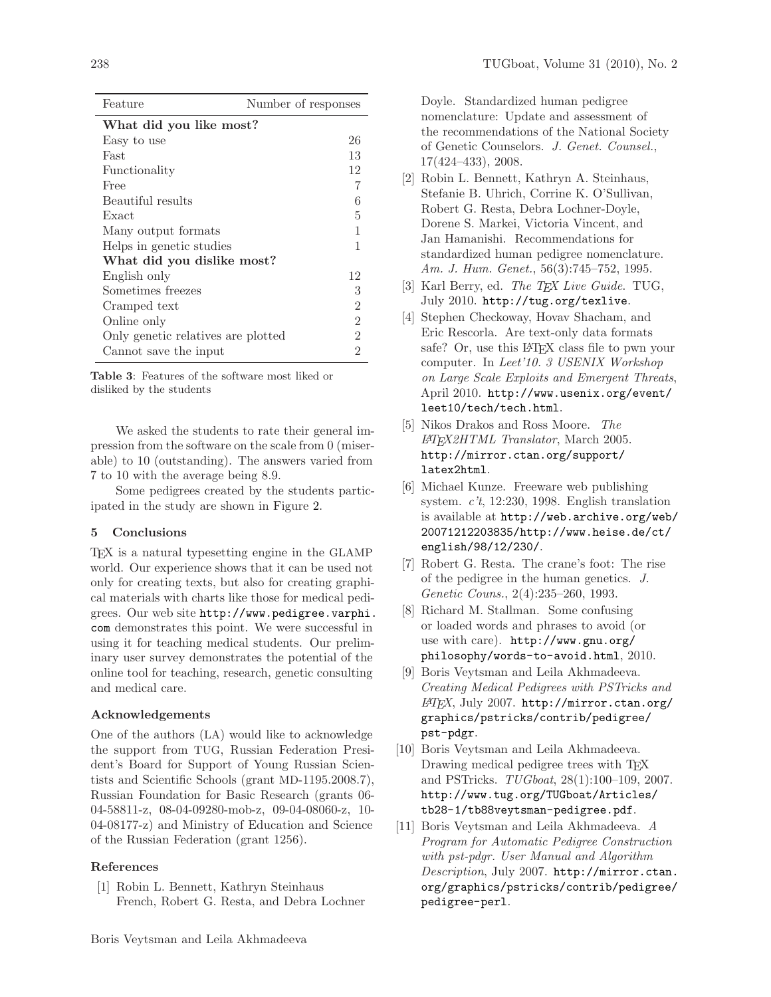| Feature                            | Number of responses |  |  |
|------------------------------------|---------------------|--|--|
| What did you like most?            |                     |  |  |
| Easy to use                        | 26                  |  |  |
| Fast                               | 13                  |  |  |
| Functionality                      | 12                  |  |  |
| Free                               | 7                   |  |  |
| Beautiful results                  | 6                   |  |  |
| Exact                              | 5                   |  |  |
| Many output formats                | 1                   |  |  |
| Helps in genetic studies           | 1                   |  |  |
| What did you dislike most?         |                     |  |  |
| English only                       | 12                  |  |  |
| Sometimes freezes                  | 3                   |  |  |
| Cramped text                       | $\overline{2}$      |  |  |
| Online only                        | $\overline{2}$      |  |  |
| Only genetic relatives are plotted | $\overline{2}$      |  |  |
| Cannot save the input              | $\overline{2}$      |  |  |

<span id="page-2-11"></span>Table 3: Features of the software most liked or disliked by the students

We asked the students to rate their general impression from the software on the scale from 0 (miserable) to 10 (outstanding). The answers varied from 7 to 10 with the average being 8.9.

Some pedigrees created by the students participated in the study are shown in Figure [2.](#page-3-4)

## 5 Conclusions

TEX is a natural typesetting engine in the GLAMP world. Our experience shows that it can be used not only for creating texts, but also for creating graphical materials with charts like those for medical pedigrees. Our web site [http://www.pedigree.varphi.](http://www.pedigree.varphi.com) [com](http://www.pedigree.varphi.com) demonstrates this point. We were successful in using it for teaching medical students. Our preliminary user survey demonstrates the potential of the online tool for teaching, research, genetic consulting and medical care.

## Acknowledgements

One of the authors (LA) would like to acknowledge the support from TUG, Russian Federation President's Board for Support of Young Russian Scientists and Scientific Schools (grant MD-1195.2008.7), Russian Foundation for Basic Research (grants 06- 04-58811-z, 08-04-09280-mob-z, 09-04-08060-z, 10- 04-08177-z) and Ministry of Education and Science of the Russian Federation (grant 1256).

#### <span id="page-2-2"></span>References

[1] Robin L. Bennett, Kathryn Steinhaus French, Robert G. Resta, and Debra Lochner Doyle. Standardized human pedigree nomenclature: Update and assessment of the recommendations of the National Society of Genetic Counselors. J. Genet. Counsel., 17(424–433), 2008.

- <span id="page-2-3"></span>[2] Robin L. Bennett, Kathryn A. Steinhaus, Stefanie B. Uhrich, Corrine K. O'Sullivan, Robert G. Resta, Debra Lochner-Doyle, Dorene S. Markei, Victoria Vincent, and Jan Hamanishi. Recommendations for standardized human pedigree nomenclature. Am. J. Hum. Genet., 56(3):745–752, 1995.
- <span id="page-2-7"></span>[3] Karl Berry, ed. The T<sub>F</sub>X Live Guide. TUG, July 2010. <http://tug.org/texlive>.
- <span id="page-2-6"></span>[4] Stephen Checkoway, Hovav Shacham, and Eric Rescorla. Are text-only data formats safe? Or, use this LAT<sub>EX</sub> class file to pwn your computer. In Leet'10. 3 USENIX Workshop on Large Scale Exploits and Emergent Threats, April 2010. [http://www.usenix.org/event/](http://www.usenix.org/event/leet10/tech/tech.html) [leet10/tech/tech.html](http://www.usenix.org/event/leet10/tech/tech.html).
- <span id="page-2-10"></span>[5] Nikos Drakos and Ross Moore. The L<sup>A</sup>TEX2HTML Translator, March 2005. [http://mirror.ctan.org/support/](http://mirror.ctan.org/support/latex2html) [latex2html](http://mirror.ctan.org/support/latex2html).
- <span id="page-2-0"></span>[6] Michael Kunze. Freeware web publishing system. c't, 12:230, 1998. English translation is available at [http://web.archive.org/web/](http://web.archive.org/web/20071212203835/http://www.heise.de/ct/english/98/12/230/) [20071212203835/http://www.heise.de/ct/](http://web.archive.org/web/20071212203835/http://www.heise.de/ct/english/98/12/230/) [english/98/12/230/](http://web.archive.org/web/20071212203835/http://www.heise.de/ct/english/98/12/230/).
- <span id="page-2-4"></span>[7] Robert G. Resta. The crane's foot: The rise of the pedigree in the human genetics. J. Genetic Couns., 2(4):235–260, 1993.
- <span id="page-2-1"></span>[8] Richard M. Stallman. Some confusing or loaded words and phrases to avoid (or use with care). [http://www.gnu.org/](http://www.gnu.org/philosophy/words-to-avoid.html) [philosophy/words-to-avoid.html](http://www.gnu.org/philosophy/words-to-avoid.html), 2010.
- <span id="page-2-9"></span>[9] Boris Veytsman and Leila Akhmadeeva. Creating Medical Pedigrees with PSTricks and L<sup>A</sup>TEX, July 2007. [http://mirror.ctan.org/](http://mirror.ctan.org/graphics/pstricks/contrib/pedigree/pst-pdgr) [graphics/pstricks/contrib/pedigree/](http://mirror.ctan.org/graphics/pstricks/contrib/pedigree/pst-pdgr) [pst-pdgr](http://mirror.ctan.org/graphics/pstricks/contrib/pedigree/pst-pdgr).
- <span id="page-2-5"></span>[10] Boris Veytsman and Leila Akhmadeeva. Drawing medical pedigree trees with T<sub>EX</sub> and PSTricks. TUGboat, 28(1):100–109, 2007. [http://www.tug.org/TUGboat/Articles/](http://www.tug.org/TUGboat/Articles/tb28-1/tb88veytsman-pedigree.pdf) [tb28-1/tb88veytsman-pedigree.pdf](http://www.tug.org/TUGboat/Articles/tb28-1/tb88veytsman-pedigree.pdf).
- <span id="page-2-8"></span>[11] Boris Veytsman and Leila Akhmadeeva. A Program for Automatic Pedigree Construction with pst-pdgr. User Manual and Algorithm Description, July 2007. [http://mirror.ctan.](http://mirror.ctan.org/graphics/pstricks/contrib/pedigree/pedigree-perl) [org/graphics/pstricks/contrib/pedigree/](http://mirror.ctan.org/graphics/pstricks/contrib/pedigree/pedigree-perl) [pedigree-perl](http://mirror.ctan.org/graphics/pstricks/contrib/pedigree/pedigree-perl).